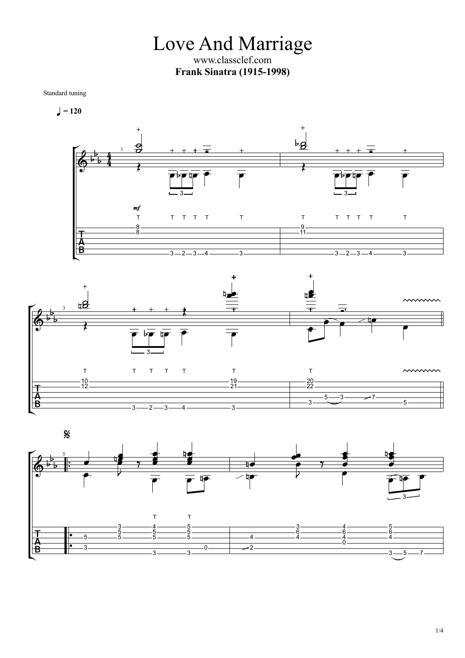Love And Marriage www.classclef.com **Frank Sinatra (1915-1998)**

Standard tuning

$$
\blacksquare = 120
$$





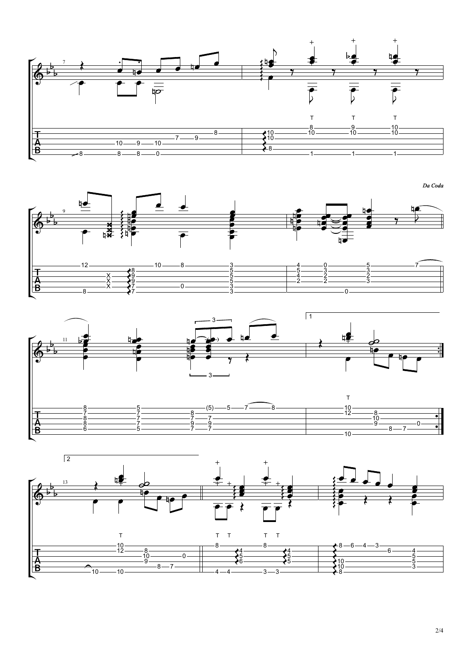

 $\frac{1}{\sqrt{1-\frac{1}{2}}\left(1-\frac{1}{2}\right)}$  $\overline{y}$  $\frac{1}{\sqrt{1-\frac{1}{2}}\sqrt{1-\frac{1}{2}}\left(\frac{1}{2}-\frac{1}{2}\right)}$  $\n *n*\n$  $12 \longrightarrow$  $10 - 8 - 3 \frac{3}{2}$  and  $\frac{3}{2}$  and  $\frac{3}{2}$  and  $\frac{3}{2}$  and  $\frac{3}{2}$  and  $\frac{3}{2}$  and  $\frac{3}{2}$  and  $\frac{3}{2}$  and  $\frac{3}{2}$  and  $\frac{3}{2}$  and  $\frac{3}{2}$  and  $\frac{3}{2}$  and  $\frac{3}{2}$  and  $\frac{3}{2}$  and  $\frac{3}{2}$  and  $\frac{3}{2}$  a  $\underline{4}$   $\underline{0}$   $\underline{0}$  $\overline{0}$   $\overline{\phantom{0}}$   $\overline{0}$   $\overline{\phantom{0}}$   $\overline{0}$   $\overline{\phantom{0}}$   $\overline{0}$   $\overline{\phantom{0}}$   $\overline{0}$   $\overline{\phantom{0}}$   $\overline{0}$   $\overline{\phantom{0}}$   $\overline{0}$   $\overline{\phantom{0}}$   $\overline{0}$   $\overline{\phantom{0}}$   $\overline{0}$   $\overline{\phantom{0}}$   $\overline{0}$   $\overline{\phantom{0}}$   $\overline{0}$   $\$  — 7- $7 \longrightarrow$  9 9 7 7  $\underline{5}$  ——————— 4 2 <u>3 — 3—</u> X X X  $\underline{5}$  ——————— <u>2 — 2—</u>  $\bar{2}$  —  $\bar{3}$ —  $8 \longrightarrow 7 \frac{3}{ }$   $\frac{2}{ }$   $\frac{3}{ }$   $\frac{2}{ }$   $\frac{2}{ }$   $\frac{2}{ }$   $\frac{2}{ }$   $\frac{2}{ }$   $\frac{2}{ }$   $\frac{2}{ }$   $\frac{2}{ }$   $\frac{2}{ }$   $\frac{2}{ }$   $\frac{2}{ }$   $\frac{2}{ }$   $\frac{2}{ }$   $\frac{2}{ }$   $\frac{2}{ }$   $\frac{2}{ }$   $\frac{2}{ }$   $\frac{2}{ }$   $\frac{2}{ }$   $\frac{2}{ }$   $\frac{2}{ }$   $\frac{2$  $\begin{array}{c} \hline \rule{0.3cm}{0.15cm} 0 \end{array}$ 





Da Coda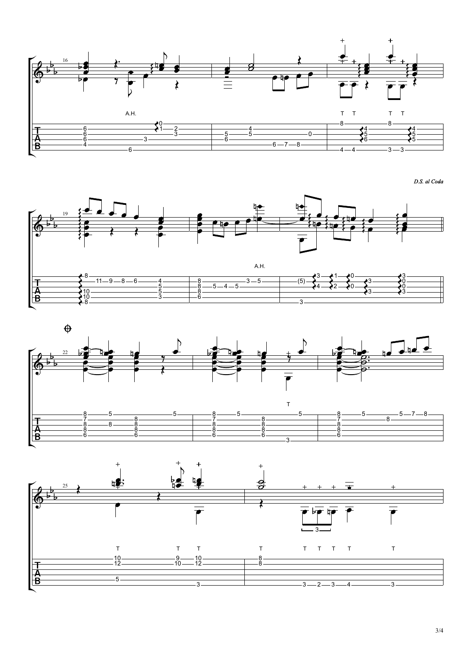

D.S. al Coda